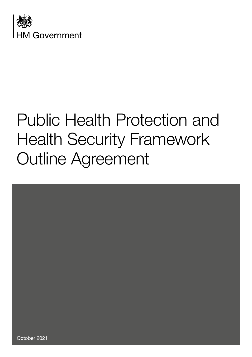



October 2021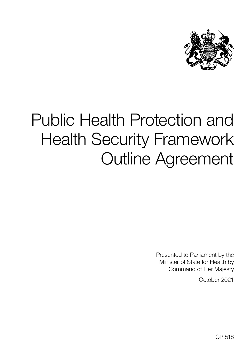

Presented to Parliament by the Minister of State for Health by Command of Her Majesty

October 2021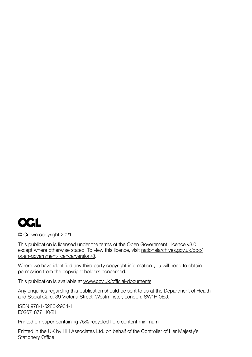

© Crown copyright 2021

This publication is licensed under the terms of the Open Government Licence v3.0 except where otherwise stated. To view this licence, visit [nationalarchives.gov.uk/doc/](http://www.nationalarchives.gov.uk/doc/open-government-licence/version/3/) [open‑government‑licence/version/3](http://www.nationalarchives.gov.uk/doc/open-government-licence/version/3/).

Where we have identified any third party copyright information you will need to obtain permission from the copyright holders concerned.

This publication is available at www.gov.uk/official-documents.

Any enquiries regarding this publication should be sent to us at the Department of Health and Social Care, 39 Victoria Street, Westminster, London, SW1H 0EU.

ISBN 978‑1‑5286‑2904‑1 E02671877 10/21

Printed on paper containing 75% recycled fibre content minimum

Printed in the UK by HH Associates Ltd. on behalf of the Controller of Her Majesty's Stationery Office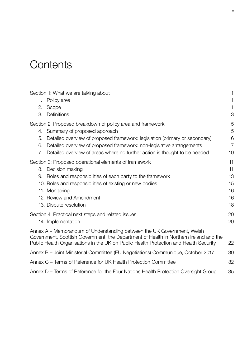## **Contents**

| Section 1: What we are talking about                                                                                                                            | 1              |
|-----------------------------------------------------------------------------------------------------------------------------------------------------------------|----------------|
| Policy area<br>1.                                                                                                                                               | 1              |
| 2.<br>Scope                                                                                                                                                     | 1              |
| Definitions<br>3.                                                                                                                                               | 3              |
| Section 2: Proposed breakdown of policy area and framework                                                                                                      | 5              |
| 4. Summary of proposed approach                                                                                                                                 | 5              |
| Detailed overview of proposed framework: legislation (primary or secondary)<br>5.                                                                               | 6              |
| Detailed overview of proposed framework: non-legislative arrangements<br>6.                                                                                     | $\overline{7}$ |
| Detailed overview of areas where no further action is thought to be needed<br>7.                                                                                | 10             |
| Section 3: Proposed operational elements of framework                                                                                                           | 11             |
| Decision making<br>8.                                                                                                                                           | 11             |
| Roles and responsibilities of each party to the framework<br>9.                                                                                                 | 13             |
| 10. Roles and responsibilities of existing or new bodies                                                                                                        | 15             |
| 11. Monitoring                                                                                                                                                  | 16             |
| 12. Review and Amendment                                                                                                                                        | 16             |
| 13. Dispute resolution                                                                                                                                          | 18             |
| Section 4: Practical next steps and related issues                                                                                                              | 20             |
| 14. Implementation                                                                                                                                              | 20             |
| Annex A – Memorandum of Understanding between the UK Government, Welsh<br>Government, Scottish Government, the Department of Health in Northern Ireland and the |                |
| Public Health Organisations in the UK on Public Health Protection and Health Security                                                                           | 22             |
| Annex B - Joint Ministerial Committee (EU Negotiations) Communique, October 2017                                                                                | 30             |
| Annex C – Terms of Reference for UK Health Protection Committee                                                                                                 | 32             |
| Annex D - Terms of Reference for the Four Nations Health Protection Oversight Group                                                                             | 35             |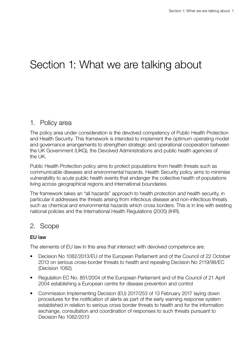## <span id="page-4-0"></span>Section 1: What we are talking about

## 1. Policy area

The policy area under consideration is the devolved competency of Public Health Protection and Health Security. This framework is intended to implement the optimum operating model and governance arrangements to strengthen strategic and operational cooperation between the UK Government (UKG), the Devolved Administrations and public health agencies of the UK.

Public Health Protection policy aims to protect populations from health threats such as communicable diseases and environmental hazards. Health Security policy aims to minimise vulnerability to acute public health events that endanger the collective health of populations living across geographical regions and international boundaries.

The framework takes an "all hazards" approach to health protection and health security, in particular it addresses the threats arising from infectious disease and non-infectious threats such as chemical and environmental hazards which cross borders. This is in line with existing national policies and the International Health Regulations (2005) (IHR).

## 2. Scope

## EU law

The elements of EU law in this area that intersect with devolved competence are:

- Decision No 1082/2013/EU of the European Parliament and of the Council of 22 October 2013 on serious cross‑border threats to health and repealing Decision No 2119/98/EC (Decision 1082).
- Regulation EC No. 851/2004 of the European Parliament and of the Council of 21 April 2004 establishing a European centre for disease prevention and control
- Commission Implementing Decision (EU) 2017/253 of 13 February 2017 laying down procedures for the notification of alerts as part of the early warning response system established in relation to serious cross border threats to health and for the information exchange, consultation and coordination of responses to such threats pursuant to Decision No 1082/2013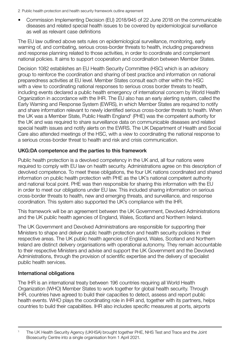- 2 Public health protection and health security framework outline agreement
- Commission Implementing Decision (EU) 2018/945 of 22 June 2018 on the communicable diseases and related special health issues to be covered by epidemiological surveillance as well as relevant case definitions

The EU law outlined above sets rules on epidemiological surveillance, monitoring, early warning of, and combating, serious cross-border threats to health, including preparedness and response planning related to those activities, in order to coordinate and complement national policies. It aims to support cooperation and coordination between Member States.

Decision 1082 establishes an EU Health Security Committee (HSC) which is an advisory group to reinforce the coordination and sharing of best practice and information on national preparedness activities at EU level. Member States consult each other within the HSC with a view to coordinating national responses to serious cross border threats to health, including events declared a public health emergency of international concern by World Health Organization in accordance with the IHR. The EU also has an early alerting system, called the Early Warning and Response System (EWRS), in which Member States are required to notify and share information relevant to newly identified serious cross‑border threats to health. When the UK was a Member State, Public Health England<sup>1</sup> (PHE) was the competent authority for the UK and was required to share surveillance data on communicable diseases and related special health issues and notify alerts on the EWRS. The UK Department of Health and Social Care also attended meetings of the HSC, with a view to coordinating the national response to a serious cross‑border threat to health and risk and crisis communication.

## UKG:DA competence and the parties to this framework

Public health protection is a devolved competency in the UK and, all four nations were required to comply with EU law on health security. Administrations agree on this description of devolved competence. To meet these obligations, the four UK nations coordinated and shared information on public health protection with PHE as the UK's national competent authority and national focal point. PHE was then responsible for sharing this information with the EU in order to meet our obligations under EU law. This included sharing information on serious cross‑border threats to health, new and emerging threats, and surveillance, and response coordination. This system also supported the UK's compliance with the IHR.

This framework will be an agreement between the UK Government, Devolved Administrations and the UK public health agencies of England, Wales, Scotland and Northern Ireland.

The UK Government and Devolved Administrations are responsible for supporting their Ministers to shape and deliver public health protection and health security policies in their respective areas. The UK public health agencies of England, Wales, Scotland and Northern Ireland are distinct delivery organisations with operational autonomy. They remain accountable to their respective Ministers and advise and support the UK Government and the Devolved Administrations, through the provision of scientific expertise and the delivery of specialist public health services.

## International obligations

The IHR is an international treaty between 196 countries requiring all World Health Organization (WHO) Member States to work together for global health security. Through IHR, countries have agreed to build their capacities to detect, assess and report public health events. WHO plays the coordinating role in IHR and, together with its partners, helps countries to build their capabilities. IHR also includes specific measures at ports, airports

<sup>1</sup> The UK Health Security Agency (UKHSA) brought together PHE, NHS Test and Trace and the Joint Biosecurity Centre into a single organisation from 1 April 2021.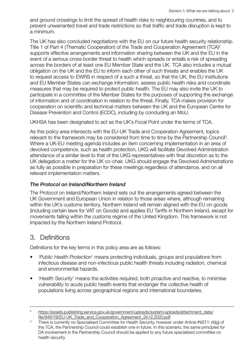<span id="page-6-0"></span>and ground crossings to limit the spread of health risks to neighbouring countries, and to prevent unwarranted travel and trade restrictions so that traffic and trade disruption is kept to a minimum.

The UK has also concluded negotiations with the EU on our future health security relationship. Title 1 of Part 4 (Thematic Cooperation) of the Trade and Cooperation Agreement (TCA)2 supports effective arrangements and information sharing between the UK and the EU in the event of a serious cross-border threat to health which spreads or entails a risk of spreading across the borders of at least one EU Member State and the UK. TCA also includes a mutual obligation on the UK and the EU to inform each other of such threats and enables the UK to request access to EWRS in respect of a such a threat, so that the UK, the EU institutions and EU Member States can exchange information, assess public health risks and coordinate measures that may be required to protect public health. The EU may also invite the UK to participate in a committee of the Member States for the purposes of supporting the exchange of information and of coordination in relation to the threat. Finally, TCA makes provision for cooperation on scientific and technical matters between the UK and the European Centre for Disease Prevention and Control (ECDC), including by concluding an MoU.

UKHSA has been designated to act as the UK's Focal Point under the terms of TCA.

As this policy area intersects with the EU‑UK Trade and Cooperation Agreement, topics relevant to the framework may be considered from time to time by the Partnership Council<sup>3</sup>. Where a UK‑EU meeting agenda includes an item concerning implementation in an area of devolved competence, such as health protection, UKG will facilitate Devolved Administration attendance of a similar level to that of the UKG representatives with final discretion as to the UK delegation a matter for the UK co‑chair. UKG should engage the Devolved Administrations as fully as possible in preparation for these meetings regardless of attendance, and on all relevant implementation matters.

#### *The Protocol on Ireland/Northern Ireland*

The Protocol on Ireland/Northern Ireland sets out the arrangements agreed between the UK Government and European Union in relation to those areas where, although remaining within the UK's customs territory, Northern Ireland will remain aligned with the EU on goods (including certain laws for VAT on Goods) and applies EU Tariffs in Northern Ireland, except for movements falling within the customs regime of the United Kingdom. This framework is not impacted by the Northern Ireland Protocol.

## 3. Definitions

Definitions for the key terms in this policy area are as follows:

- '*Public Health Protection*' means protecting individuals, groups and populations from infectious disease and non‑infectious public health threats including radiation, chemical and environmental hazards.
- '*Health Security*' means the activities required, both proactive and reactive, to minimise vulnerability to acute public health events that endanger the collective health of populations living across geographical regions and international boundaries.

<sup>&</sup>lt;sup>2</sup> [https://assets.publishing.service.gov.uk/government/uploads/system/uploads/attachment\\_data/](https://assets.publishing.service.gov.uk/government/uploads/system/uploads/attachment_data/file/948119/EU-UK_Trade_and_Cooperation_Agreement_24.12.2020.pdf) [file/948119/EU-UK\\_Trade\\_and\\_Cooperation\\_Agreement\\_24.12.2020.pdf](https://assets.publishing.service.gov.uk/government/uploads/system/uploads/attachment_data/file/948119/EU-UK_Trade_and_Cooperation_Agreement_24.12.2020.pdf)

<sup>&</sup>lt;sup>3</sup> There is currently no Specialised Committee for Health Security, however under Article INST.1: (4)(g) of the TCA, the Partnership Council could establish one in future. In this scenario, the same principles for DA involvement in the Partnership Council should be applied to any future specialised committee on health security.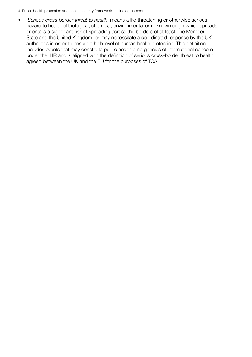• *'Serious cross-border threat to health'* means a life-threatening or otherwise serious hazard to health of biological, chemical, environmental or unknown origin which spreads or entails a significant risk of spreading across the borders of at least one Member State and the United Kingdom, or may necessitate a coordinated response by the UK authorities in order to ensure a high level of human health protection. This definition includes events that may constitute public health emergencies of international concern under the IHR and is aligned with the definition of serious cross‑border threat to health agreed between the UK and the EU for the purposes of TCA.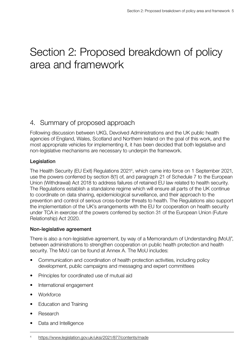## <span id="page-8-0"></span>Section 2: Proposed breakdown of policy area and framework

## 4. Summary of proposed approach

Following discussion between UKG, Devolved Administrations and the UK public health agencies of England, Wales, Scotland and Northern Ireland on the goal of this work, and the most appropriate vehicles for implementing it, it has been decided that both legislative and non‑legislative mechanisms are necessary to underpin the framework.

## Legislation

The Health Security (EU Exit) Regulations 2021<sup>4</sup>, which came into force on 1 September 2021, use the powers conferred by section 8(1) of, and paragraph 21 of Schedule 7 to the European Union (Withdrawal) Act 2018 to address failures of retained EU law related to health security. The Regulations establish a standalone regime which will ensure all parts of the UK continue to coordinate on data sharing, epidemiological surveillance, and their approach to the prevention and control of serious cross‑border threats to health. The Regulations also support the implementation of the UK's arrangements with the EU for cooperation on health security under TCA in exercise of the powers conferred by section 31 of the European Union (Future Relationship) Act 2020.

## Non‑legislative agreement

There is also a non-legislative agreement, by way of a Memorandum of Understanding (MoU)", between administrations to strengthen cooperation on public health protection and health security. The MoU can be found at Annex A. The MoU includes:

- Communication and coordination of health protection activities, including policy development, public campaigns and messaging and expert committees
- Principles for coordinated use of mutual aid
- International engagement
- Workforce
- Education and Training
- Research
- Data and Intelligence

<sup>4</sup> <https://www.legislation.gov.uk/uksi/2021/877/contents/made>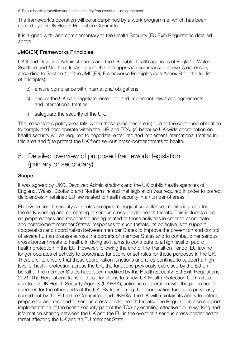<span id="page-9-0"></span>The framework's operation will be underpinned by a work programme, which has been agreed by the UK Health Protection Committee.

It is aligned with, and complementary to the Health Security (EU Exit) Regulations detailed above.

#### JMC(EN) Frameworks Principles

UKG and Devolved Administrations and the UK public health agencies of England, Wales, Scotland and Northern Ireland agree that the approach summarised above is necessary according to Section 1 of the JMC(EN) Frameworks Principles (see Annex B for the full list of principles):

- b) ensure compliance with international obligations;
- c) ensure the UK can negotiate, enter into and implement new trade agreements and international treaties;
- f) safeguard the security of the UK.

The reasons this policy area falls within these principles are (b) due to the continued obligation to comply and best operate within the IHR and TCA, (c) because UK‑wide coordination on health security will be required to negotiate, enter into and implement international treaties in this area and f) to protect the UK from serious cross‑border threats to health.

## 5. Detailed overview of proposed framework: legislation (primary or secondary)

## Scope

It was agreed by UKG, Devolved Administrations and the UK public health agencies of England, Wales, Scotland and Northern Ireland that legislation was required in order to correct deficiencies in retained EU law related to health security in a number of areas.

EU law on health security sets rules on epidemiological surveillance, monitoring, and for the early warning and combating of serious cross‑border health threats. This includes rules on preparedness and response planning related to those activities in order to coordinate and complement member States' responses to such threats. Its objective is to support cooperation and coordination between member States to improve the prevention and control of severe human disease across the borders of member States and to combat other serious cross border threats to health. In doing so it aims to contribute to a high level of public health protection in the EU. However, following the end of the Transition Period, EU law no longer operates effectively to coordinate functions or set rules for those purposes in the UK. Therefore, to ensure that these coordination functions and rules continue to support a high level of health protection across the UK, the functions previously exercised by the EU on behalf of the member States have been modified by the Health Security (EU Exit) Regulations 2021. The Regulations transfer these functions to a new UK Health Protection Committee and to the UK Health Security Agency (UKHSA), acting in cooperation with the public health agencies for the other parts of the UK. By transferring the coordination functions previously carried out by the EU to the Committee and UKHSA, the UK will maintain its ability to detect, prepare for and respond to serious cross‑border health threats. The Regulations also support implementation of the health security part of the TCA by enabling effective future working and information sharing between the UK and the EU in the event of a serious cross-border health threat affecting the UK and an EU member State.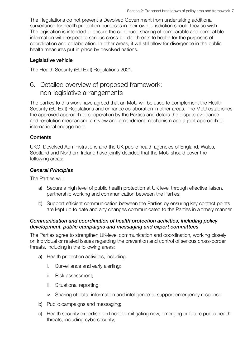<span id="page-10-0"></span>The Regulations do not prevent a Devolved Government from undertaking additional surveillance for health protection purposes in their own jurisdiction should they so wish. The legislation is intended to ensure the continued sharing of comparable and compatible information with respect to serious cross‑border threats to health for the purposes of coordination and collaboration. In other areas, it will still allow for divergence in the public health measures put in place by devolved nations.

## Legislative vehicle

The Health Security (EU Exit) Regulations 2021.

## 6. Detailed overview of proposed framework: non‑legislative arrangements

The parties to this work have agreed that an MoU will be used to complement the Health Security (EU Exit) Regulations and enhance collaboration in other areas. The MoU establishes the approved approach to cooperation by the Parties and details the dispute avoidance and resolution mechanism, a review and amendment mechanism and a joint approach to international engagement.

## **Contents**

UKG, Devolved Administrations and the UK public health agencies of England, Wales, Scotland and Northern Ireland have jointly decided that the MoU should cover the following areas:

## *General Principles*

The Parties will:

- a) Secure a high level of public health protection at UK level through effective liaison, partnership working and communication between the Parties;
- b) Support efficient communication between the Parties by ensuring key contact points are kept up to date and any changes communicated to the Parties in a timely manner.

## *Communication and coordination of health protection activities, including policy development, public campaigns and messaging and expert committees*

The Parties agree to strengthen UK‑level communication and coordination, working closely on individual or related issues regarding the prevention and control of serious cross‑border threats, including in the following areas:

- a) Health protection activities, including:
	- i. Surveillance and early alerting;
	- ii. Risk assessment;
	- iii. Situational reporting;
	- iv. Sharing of data, information and intelligence to support emergency response.
- b) Public campaigns and messaging;
- c) Health security expertise pertinent to mitigating new, emerging or future public health threats, including cybersecurity;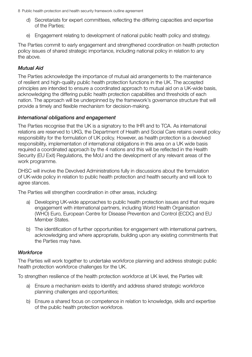- d) Secretariats for expert committees, reflecting the differing capacities and expertise of the Parties;
- e) Engagement relating to development of national public health policy and strategy.

The Parties commit to early engagement and strengthened coordination on health protection policy issues of shared strategic importance, including national policy in relation to any the above.

## *Mutual Aid*

The Parties acknowledge the importance of mutual aid arrangements to the maintenance of resilient and high‑quality public health protection functions in the UK. The accepted principles are intended to ensure a coordinated approach to mutual aid on a UK‑wide basis, acknowledging the differing public health protection capabilities and thresholds of each nation. The approach will be underpinned by the framework's governance structure that will provide a timely and flexible mechanism for decision‑making.

## *International obligations and engagement*

The Parties recognise that the UK is a signatory to the IHR and to TCA. As international relations are reserved to UKG, the Department of Health and Social Care retains overall policy responsibility for the formulation of UK policy. However, as health protection is a devolved responsibility, implementation of international obligations in this area on a UK wide basis required a coordinated approach by the 4 nations and this will be reflected in the Health Security (EU Exit) Regulations, the MoU and the development of any relevant areas of the work programme.

DHSC will involve the Devolved Administrations fully in discussions about the formulation of UK‑wide policy in relation to public health protection and health security and will look to agree stances.

The Parties will strengthen coordination in other areas, including:

- a) Developing UK‑wide approaches to public health protection issues and that require engagement with international partners, including World Health Organisation (WHO) Euro, European Centre for Disease Prevention and Control (ECDC) and EU Member States.
- b) The identification of further opportunities for engagement with international partners, acknowledging and where appropriate, building upon any existing commitments that the Parties may have.

## *Workforce*

The Parties will work together to undertake workforce planning and address strategic public health protection workforce challenges for the UK.

To strengthen resilience of the health protection workforce at UK level, the Parties will:

- a) Ensure a mechanism exists to identify and address shared strategic workforce planning challenges and opportunities;
- b) Ensure a shared focus on competence in relation to knowledge, skills and expertise of the public health protection workforce.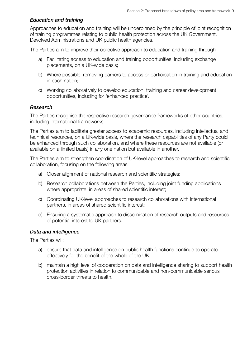#### *Education and training*

Approaches to education and training will be underpinned by the principle of joint recognition of training programmes relating to public health protection across the UK Government, Devolved Administrations and UK public health agencies.

The Parties aim to improve their collective approach to education and training through:

- a) Facilitating access to education and training opportunities, including exchange placements, on a UK‑wide basis;
- b) Where possible, removing barriers to access or participation in training and education in each nation;
- c) Working collaboratively to develop education, training and career development opportunities, including for 'enhanced practice'.

#### *Research*

The Parties recognise the respective research governance frameworks of other countries, including international frameworks.

The Parties aim to facilitate greater access to academic resources, including intellectual and technical resources, on a UK‑wide basis, where the research capabilities of any Party could be enhanced through such collaboration, and where these resources are not available (or available on a limited basis) in any one nation but available in another.

The Parties aim to strengthen coordination of UK‑level approaches to research and scientific collaboration, focusing on the following areas:

- a) Closer alignment of national research and scientific strategies;
- b) Research collaborations between the Parties, including joint funding applications where appropriate, in areas of shared scientific interest;
- c) Coordinating UK‑level approaches to research collaborations with international partners, in areas of shared scientific interest;
- d) Ensuring a systematic approach to dissemination of research outputs and resources of potential interest to UK partners.

#### *Data and intelligence*

The Parties will:

- a) ensure that data and intelligence on public health functions continue to operate effectively for the benefit of the whole of the UK;
- b) maintain a high level of cooperation on data and intelligence sharing to support health protection activities in relation to communicable and non‑communicable serious cross‑border threats to health.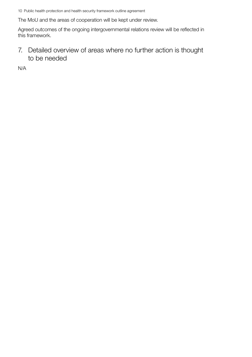<span id="page-13-0"></span>The MoU and the areas of cooperation will be kept under review.

Agreed outcomes of the ongoing intergovernmental relations review will be reflected in this framework.

7. Detailed overview of areas where no further action is thought to be needed

N/A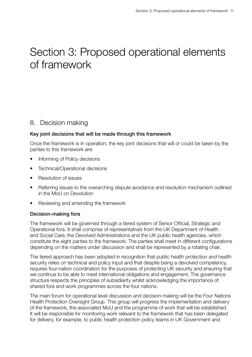## <span id="page-14-0"></span>Section 3: Proposed operational elements of framework

## 8. Decision making

## Key joint decisions that will be made through this framework

Once the framework is in operation, the key joint decisions that will or could be taken by the parties to this framework are:

- Informing of Policy decisions
- Technical/Operational decisions
- Resolution of issues
- Referring issues to the overarching dispute avoidance and resolution mechanism outlined in the MoU on Devolution
- Reviewing and amending the framework

## Decision‑making fora

The framework will be governed through a tiered system of Senior Official, Strategic and Operational fora. It shall comprise of representatives from the UK Department of Health and Social Care, the Devolved Administrations and the UK public health agencies, which constitute the eight parties to the framework. The parties shall meet in different configurations depending on the matters under discussion and shall be represented by a rotating chair.

The tiered approach has been adopted in recognition that public health protection and health security relies on technical and policy input and that despite being a devolved competency, requires four-nation coordination for the purposes of protecting UK security and ensuring that we continue to be able to meet international obligations and engagement. The governance structure respects the principles of subsidiarity whilst acknowledging the importance of shared fora and work programmes across the four nations.

The main forum for operational level discussion and decision-making will be the Four Nations Health Protection Oversight Group. This group will progress the implementation and delivery of the framework, the associated MoU and the programme of work that will be established. It will be responsible for monitoring work relevant to the framework that has been delegated for delivery, for example, to public health protection policy teams in UK Government and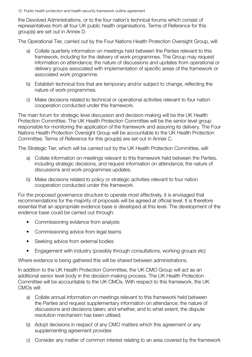the Devolved Administrations, or to the four nation's technical forums which consist of representatives from all four UK public health organisations. Terms of Reference for this group(s) are set out in Annex D.

The Operational Tier, carried out by the Four Nations Health Protection Oversight Group, will:

- a) Collate quarterly information on meetings held between the Parties relevant to this framework, including for the delivery of work programmes. The Group may request information on attendance; the nature of discussions and updates from operational or delivery groups associated with implementation of specific areas of the framework or associated work programme.
- b) Establish technical fora that are temporary and/or subject to change, reflecting the nature of work programmes.
- c) Make decisions related to technical or operational activities relevant to four nation cooperation conducted under this framework.

The main forum for strategic level discussion and decision-making will be the UK Health Protection Committee. The UK Health Protection Committee will be the senior level group responsible for monitoring the application of the framework and assuring its delivery. The Four Nations Health Protection Oversight Group will be accountable to the UK Health Protection Committee. Terms of Reference for this group(s) are set out in Annex C.

The Strategic Tier, which will be carried out by the UK Health Protection Committee, will:

- a) Collate information on meetings relevant to this framework held between the Parties, including strategic decisions, and request information on attendance; the nature of discussions and work programmes updates.
- b) Make decisions related to policy or strategic activities relevant to four nation cooperation conducted under this framework.

For the proposed governance structure to operate most effectively, it is envisaged that recommendations for the majority of proposals will be agreed at official level. It is therefore essential that an appropriate evidence base is developed at this level. The development of the evidence base could be carried out through:

- Commissioning evidence from analysts
- Commissioning advice from legal teams
- Seeking advice from external bodies
- Engagement with industry (possibly through consultations, working groups etc)

Where evidence is being gathered this will be shared between administrations.

In addition to the UK Health Protection Committee, the UK CMO Group will act as an additional senior level body in the decision-making process. The UK Health Protection Committee will be accountable to the UK CMOs. With respect to this framework, the UK CMOs will:

- a) Collate annual information on meetings relevant to this framework held between the Parties and request supplementary information on attendance; the nature of discussions and decisions taken; and whether, and to what extent, the dispute resolution mechanism has been utilised.
- b) Adopt decisions in respect of any CMO matters which this agreement or any supplementing agreement provides
- c) Consider any matter of common interest relating to an area covered by the framework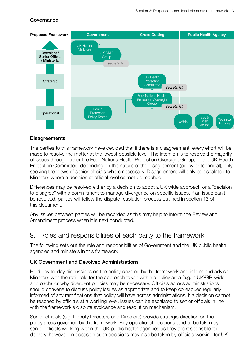## <span id="page-16-0"></span>Governance



#### **Disagreements**

The parties to this framework have decided that if there is a disagreement, every effort will be made to resolve the matter at the lowest possible level. The intention is to resolve the majority of issues through either the Four Nations Health Protection Oversight Group, or the UK Health Protection Committee, depending on the nature of the disagreement (policy or technical), only seeking the views of senior officials where necessary. Disagreement will only be escalated to Ministers where a decision at official level cannot be reached.

Differences may be resolved either by a decision to adopt a UK wide approach or a "decision to disagree" with a commitment to manage divergence on specific issues. If an issue can't be resolved, parties will follow the dispute resolution process outlined in section 13 of this document.

Any issues between parties will be recorded as this may help to inform the Review and Amendment process when it is next conducted.

## 9. Roles and responsibilities of each party to the framework

The following sets out the role and responsibilities of Government and the UK public health agencies and ministers in this framework.

#### UK Government and Devolved Administrations

Hold day‑to‑day discussions on the policy covered by the framework and inform and advise Ministers with the rationale for the approach taken within a policy area (e.g. a UK/GB-wide approach), or why divergent policies may be necessary. Officials across administrations should convene to discuss policy issues as appropriate and to keep colleagues regularly informed of any ramifications that policy will have across administrations. If a decision cannot be reached by officials at a working level, issues can be escalated to senior officials in line with the framework's dispute avoidance and resolution mechanism.

Senior officials (e.g. Deputy Directors and Directors) provide strategic direction on the policy areas governed by the framework. Key operational decisions tend to be taken by senior officials working within the UK public health agencies as they are responsible for delivery, however on occasion such decisions may also be taken by officials working for UK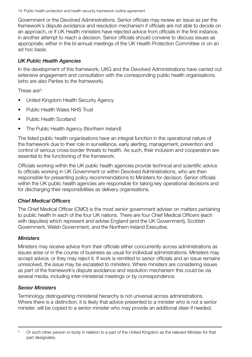Government or the Devolved Administrations. Senior officials may review an issue as per the framework's dispute avoidance and resolution mechanism if officials are not able to decide on an approach, or if UK Health ministers have rejected advice from officials in the first instance, in another attempt to reach a decision. Senior officials should convene to discuss issues as appropriate, either in the bi‑annual meetings of the UK Health Protection Committee or on an ad hoc basis.

## *UK Public Health Agencies*

In the development of this framework, UKG and the Devolved Administrations have carried out extensive engagement and consultation with the corresponding public health organisations. (who are also Parties to the framework).

These are<sup>5</sup>:

- United Kingdom Health Security Agency
- Public Health Wales NHS Trust
- Public Health Scotland
- The Public Health Agency (Northern Ireland)

The listed public health organisations have an integral function in the operational nature of the framework due to their role in surveillance, early alerting, management, prevention and control of serious cross‑border threats to health. As such, their inclusion and cooperation are essential to the functioning of the framework.

Officials working within the UK public health agencies provide technical and scientific advice to officials working in UK Government or within Devolved Administrations, who are then responsible for presenting policy recommendations to Ministers for decision. Senior officials within the UK public health agencies are responsible for taking key operational decisions and for discharging their responsibilities as delivery organisations.

## *Chief Medical Officers*

The Chief Medical Officer (CMO) is the most senior government adviser on matters pertaining to public health in each of the four UK nations. There are four Chief Medical Officers (each with deputies) which represent and advise England (and the UK Government), Scottish Government, Welsh Government, and the Northern Ireland Executive.

## *Ministers*

Ministers may receive advice from their officials either concurrently across administrations as issues arise or in the course of business as usual for individual administrations. Ministers may accept advice, or they may reject it. If work is remitted to senior officials and an issue remains unresolved, the issue may be escalated to ministers. Where ministers are considering issues as part of the framework's dispute avoidance and resolution mechanism this could be via several media, including inter-ministerial meetings or by correspondence.

## *Senior Ministers*

Terminology distinguishing ministerial hierarchy is not universal across administrations. Where there is a distinction, it is likely that advice presented to a minister who is not a senior minister, will be copied to a senior minister who may provide an additional steer if needed.

<sup>&</sup>lt;sup>5</sup> Or such other person or body in relation to a part of the United Kingdom as the relevant Minister for that part designates.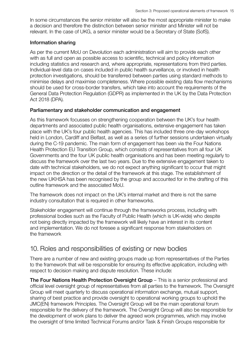<span id="page-18-0"></span>In some circumstances the senior minister will also be the most appropriate minister to make a decision and therefore the distinction between senior minister and Minister will not be relevant. In the case of UKG, a senior minister would be a Secretary of State (SofS).

#### Information sharing

As per the current MoU on Devolution each administration will aim to provide each other with as full and open as possible access to scientific, technical and policy information including statistics and research and, where appropriate, representations from third parties. Individual‑level data on cases included in public health surveillance, or involved in health protection investigations, should be transferred between parties using standard methods to minimise delays and maximise completeness. Where possible existing data flow mechanisms should be used for cross‑border transfers, which take into account the requirements of the General Data Protection Regulation (GDPR) as implemented in the UK by the Data Protection Act 2018 (DPA).

#### Parliamentary and stakeholder communication and engagement

As this framework focusses on strengthening cooperation between the UK's four health departments and associated public health organisations, extensive engagement has taken place with the UK's four public health agencies. This has included three one‑day workshops held in London, Cardiff and Belfast, as well as a series of further sessions undertaken virtually during the C‑19 pandemic. The main form of engagement has been via the Four Nations Health Protection EU Transition Group, which consists of representatives from all four UK Governments and the four UK public health organisations and has been meeting regularly to discuss the framework over the last two years. Due to the extensive engagement taken to date with technical stakeholders, we do not expect anything significant to occur that might impact on the direction or the detail of the framework at this stage. The establishment of the new UKHSA has been recognised by the group and accounted for in the drafting of this outline framework and the associated MoU.

The framework does not impact on the UK's internal market and there is not the same industry consultation that is required in other frameworks.

Stakeholder engagement will continue through the frameworks process, including with professional bodies such as the Faculty of Public Health (which is UK‑wide) who despite not being directly impacted by the framework will likely have an interest in its content and implementation. We do not foresee a significant response from stakeholders on the framework

## 10. Roles and responsibilities of existing or new bodies

There are a number of new and existing groups made up from representatives of the Parties to the framework that will be responsible for ensuring its effective application, including with respect to decision making and dispute resolution. These include:

The Four Nations Health Protection Oversight Group – This is a senior professional and official level oversight group of representatives from all parties to the framework. The Oversight Group will meet quarterly to discuss operational information exchange, mutual support, sharing of best practice and provide oversight to operational working groups to uphold the JMC(EN) framework Principles. The Oversight Group will be the main operational forum responsible for the delivery of the framework. The Oversight Group will also be responsible for the development of work plans to deliver the agreed work programmes, which may involve the oversight of time limited Technical Forums and/or Task & Finish Groups responsible for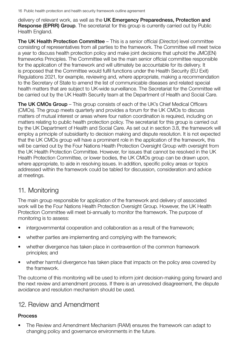<span id="page-19-0"></span>delivery of relevant work, as well as the UK Emergency Preparedness, Protection and **Response (EPRR) Group.** The secretariat for this group is currently carried out by Public Health England.

The UK Health Protection Committee – This is a senior official (Director) level committee consisting of representatives from all parties to the framework. The Committee will meet twice a year to discuss health protection policy and make joint decisions that uphold the JMC(EN) frameworks Principles. The Committee will be the main senior official committee responsible for the application of the framework and will ultimately be accountable for its delivery. It is proposed that the Committee would fulfil functions under the Health Security (EU Exit) Regulations 2021, for example, reviewing and, where appropriate, making a recommendation to the Secretary of State to amend the list of communicable diseases and related special health matters that are subject to UK-wide surveillance. The Secretariat for the Committee will be carried out by the UK Health Security team at the Department of Health and Social Care.

The UK CMOs Group – This group consists of each of the UK's Chief Medical Officers (CMOs). The group meets quarterly and provides a forum for the UK CMOs to discuss matters of mutual interest or areas where four nation coordination is required, including on matters relating to public health protection policy. The secretariat for this group is carried out by the UK Department of Health and Social Care. As set out in section 3.8, the framework will employ a principle of subsidiarity to decision making and dispute resolution. It is not expected that the UK CMOs group will have a prominent role in the application of the framework, this will be carried out by the Four Nations Health Protection Oversight Group with oversight from the UK Health Protection Committee. However, for issues that cannot be resolved in the UK Health Protection Committee, or lower bodies, the UK CMOs group can be drawn upon, where appropriate, to aide in resolving issues. In addition, specific policy areas or topics addressed within the framework could be tabled for discussion, consideration and advice at meetings.

## 11. Monitoring

The main group responsible for application of the framework and delivery of associated work will be the Four Nations Health Protection Oversight Group. However, the UK Health Protection Committee will meet bi-annually to monitor the framework. The purpose of monitoring is to assess:

- intergovernmental cooperation and collaboration as a result of the framework;
- whether parties are implementing and complying with the framework;
- whether divergence has taken place in contravention of the common framework principles; and
- whether harmful divergence has taken place that impacts on the policy area covered by the framework.

The outcome of this monitoring will be used to inform joint decision-making going forward and the next review and amendment process. If there is an unresolved disagreement, the dispute avoidance and resolution mechanism should be used.

## 12. Review and Amendment

## Process

• The Review and Amendment Mechanism (RAM) ensures the framework can adapt to changing policy and governance environments in the future.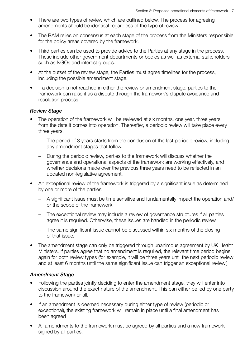- There are two types of review which are outlined below. The process for agreeing amendments should be identical regardless of the type of review.
- The RAM relies on consensus at each stage of the process from the Ministers responsible for the policy areas covered by the framework.
- Third parties can be used to provide advice to the Parties at any stage in the process. These include other government departments or bodies as well as external stakeholders such as NGOs and interest groups.
- At the outset of the review stage, the Parties must agree timelines for the process, including the possible amendment stage.
- If a decision is not reached in either the review or amendment stage, parties to the framework can raise it as a dispute through the framework's dispute avoidance and resolution process.

#### *Review Stage*

- The operation of the framework will be reviewed at six months, one year, three years from the date it comes into operation. Thereafter, a periodic review will take place every three years.
	- The period of 3 years starts from the conclusion of the last periodic review, including any amendment stages that follow.
	- During the periodic review, parties to the framework will discuss whether the governance and operational aspects of the framework are working effectively, and whether decisions made over the previous three years need to be reflected in an updated non‑legislative agreement.
- An exceptional review of the framework is triggered by a significant issue as determined by one or more of the parties.
	- A significant issue must be time sensitive and fundamentally impact the operation and/ or the scope of the framework.
	- The exceptional review may include a review of governance structures if all parties agree it is required. Otherwise, these issues are handled in the periodic review.
	- The same significant issue cannot be discussed within six months of the closing of that issue.
- The amendment stage can only be triggered through unanimous agreement by UK Health Ministers. If parties agree that no amendment is required, the relevant time period begins again for both review types (for example, it will be three years until the next periodic review and at least 6 months until the same significant issue can trigger an exceptional review.)

#### *Amendment Stage*

- Following the parties jointly deciding to enter the amendment stage, they will enter into discussion around the exact nature of the amendment. This can either be led by one party to the framework or all.
- If an amendment is deemed necessary during either type of review (periodic or exceptional), the existing framework will remain in place until a final amendment has been agreed
- All amendments to the framework must be agreed by all parties and a new framework signed by all parties.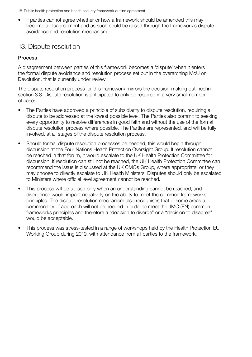<span id="page-21-0"></span>• If parties cannot agree whether or how a framework should be amended this may become a disagreement and as such could be raised through the framework's dispute avoidance and resolution mechanism.

## 13. Dispute resolution

## **Process**

A disagreement between parties of this framework becomes a 'dispute' when it enters the formal dispute avoidance and resolution process set out in the overarching MoU on Devolution, that is currently under review.

The dispute resolution process for this framework mirrors the decision-making outlined in section 3.8. Dispute resolution is anticipated to only be required in a very small number of cases.

- The Parties have approved a principle of subsidiarity to dispute resolution, requiring a dispute to be addressed at the lowest possible level. The Parties also commit to seeking every opportunity to resolve differences in good faith and without the use of the formal dispute resolution process where possible. The Parties are represented, and will be fully involved, at all stages of the dispute resolution process.
- Should formal dispute resolution processes be needed, this would begin through discussion at the Four Nations Health Protection Oversight Group. If resolution cannot be reached in that forum, it would escalate to the UK Health Protection Committee for discussion. If resolution can still not be reached, the UK Health Protection Committee can recommend the issue is discussed at the UK CMOs Group, where appropriate, or they may choose to directly escalate to UK Health Ministers. Disputes should only be escalated to Ministers where official level agreement cannot be reached.
- This process will be utilised only when an understanding cannot be reached, and divergence would impact negatively on the ability to meet the common frameworks principles. The dispute resolution mechanism also recognises that in some areas a commonality of approach will not be needed in order to meet the JMC (EN) common frameworks principles and therefore a "decision to diverge" or a "decision to disagree" would be acceptable.
- This process was stress-tested in a range of workshops held by the Health Protection EU Working Group during 2019, with attendance from all parties to the framework.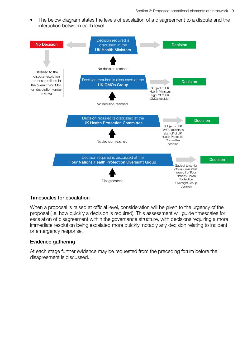• The below diagram states the levels of escalation of a disagreement to a dispute and the interaction between each level.



#### Timescales for escalation

When a proposal is raised at official level, consideration will be given to the urgency of the proposal (i.e. how quickly a decision is required). This assessment will guide timescales for escalation of disagreement within the governance structure, with decisions requiring a more immediate resolution being escalated more quickly, notably any decision relating to incident or emergency response.

#### Evidence gathering

At each stage further evidence may be requested from the preceding forum before the disagreement is discussed.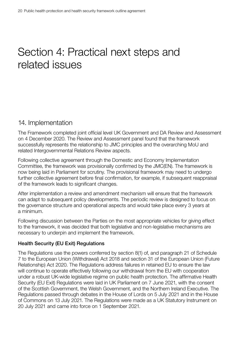## <span id="page-23-0"></span>Section 4: Practical next steps and related issues

## 14. Implementation

The Framework completed joint official level UK Government and DA Review and Assessment on 4 December 2020. The Review and Assessment panel found that the framework successfully represents the relationship to JMC principles and the overarching MoU and related Intergovernmental Relations Review aspects.

Following collective agreement through the Domestic and Economy Implementation Committee, the framework was provisionally confirmed by the JMC(EN). The framework is now being laid in Parliament for scrutiny. The provisional framework may need to undergo further collective agreement before final confirmation, for example, if subsequent reappraisal of the framework leads to significant changes.

After implementation a review and amendment mechanism will ensure that the framework can adapt to subsequent policy developments. The periodic review is designed to focus on the governance structure and operational aspects and would take place every 3 years at a minimum.

Following discussion between the Parties on the most appropriate vehicles for giving effect to the framework, it was decided that both legislative and non-legislative mechanisms are necessary to underpin and implement the framework.

## Health Security (EU Exit) Regulations

The Regulations use the powers conferred by section 8(1) of, and paragraph 21 of Schedule 7 to the European Union (Withdrawal) Act 2018 and section 31 of the European Union (Future Relationship) Act 2020. The Regulations address failures in retained EU to ensure the law will continue to operate effectively following our withdrawal from the EU with cooperation under a robust UK‑wide legislative regime on public health protection. The affirmative Health Security (EU Exit) Regulations were laid in UK Parliament on 7 June 2021, with the consent of the Scottish Government, the Welsh Government, and the Northern Ireland Executive. The Regulations passed through debates in the House of Lords on 5 July 2021 and in the House of Commons on 13 July 2021. The Regulations were made as a UK Statutory Instrument on 20 July 2021 and came into force on 1 September 2021.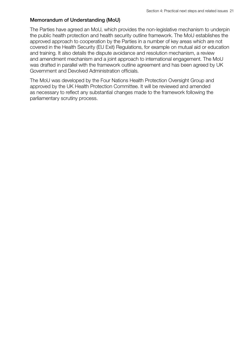#### Memorandum of Understanding (MoU)

The Parties have agreed an MoU, which provides the non‑legislative mechanism to underpin the public health protection and health security outline framework. The MoU establishes the approved approach to cooperation by the Parties in a number of key areas which are not covered in the Health Security (EU Exit) Regulations, for example on mutual aid or education and training. It also details the dispute avoidance and resolution mechanism, a review and amendment mechanism and a joint approach to international engagement. The MoU was drafted in parallel with the framework outline agreement and has been agreed by UK Government and Devolved Administration officials.

The MoU was developed by the Four Nations Health Protection Oversight Group and approved by the UK Health Protection Committee. It will be reviewed and amended as necessary to reflect any substantial changes made to the framework following the parliamentary scrutiny process.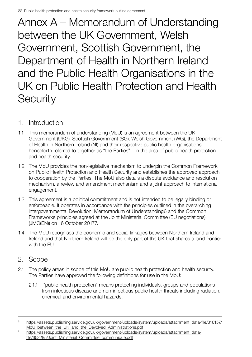<span id="page-25-0"></span>Annex A – Memorandum of Understanding between the UK Government, Welsh Government, Scottish Government, the Department of Health in Northern Ireland and the Public Health Organisations in the UK on Public Health Protection and Health **Security** 

- 1. Introduction
- 1.1 This memorandum of understanding (MoU) is an agreement between the UK Government (UKG), Scottish Government (SG), Welsh Government (WG), the Department of Health in Northern Ireland (NI) and their respective public health organisations – henceforth referred to together as "the Parties" – in the area of public health protection and health security.
- 1.2 The MoU provides the non-legislative mechanism to underpin the Common Framework on Public Health Protection and Health Security and establishes the approved approach to cooperation by the Parties. The MoU also details a dispute avoidance and resolution mechanism, a review and amendment mechanism and a joint approach to international engagement.
- 1.3 This agreement is a political commitment and is not intended to be legally binding or enforceable. It operates in accordance with the principles outlined in the overarching intergovernmental Devolution: Memorandum of Understanding6 and the Common Frameworks principles agreed at the Joint Ministerial Committee (EU negotiations) (JMC(EN)) on 16 October 20177.
- 1.4 The MoU recognises the economic and social linkages between Northern Ireland and Ireland and that Northern Ireland will be the only part of the UK that shares a land frontier with the FU.

## 2. Scope

- 2.1 The policy areas in scope of this MoU are public health protection and health security. The Parties have approved the following definitions for use in the MoU:
	- 2.1.1 "public health protection" means protecting individuals, groups and populations from infectious disease and non-infectious public health threats including radiation, chemical and environmental hazards.

<sup>6</sup> [https://assets.publishing.service.gov.uk/government/uploads/system/uploads/attachment\\_data/file/316157/](https://assets.publishing.service.gov.uk/government/uploads/system/uploads/attachment_data/file/316157/MoU_between_the_UK_and_the_Devolved_Administrations.pdf) MoU between the UK and the Devolved Administrations.pdf

<sup>7</sup> [https://assets.publishing.service.gov.uk/government/uploads/system/uploads/attachment\\_data/](https://assets.publishing.service.gov.uk/government/uploads/system/uploads/attachment_data/file/652285/Joint_Ministerial_Committee_communique.pdf) [file/652285/Joint\\_Ministerial\\_Committee\\_communique.pdf](https://assets.publishing.service.gov.uk/government/uploads/system/uploads/attachment_data/file/652285/Joint_Ministerial_Committee_communique.pdf)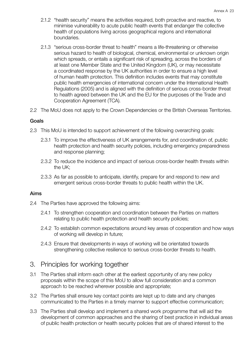- 2.1.2 "health security" means the activities required, both proactive and reactive, to minimise vulnerability to acute public health events that endanger the collective health of populations living across geographical regions and international boundaries.
- 2.1.3 "serious cross-border threat to health" means a life-threatening or otherwise serious hazard to health of biological, chemical, environmental or unknown origin which spreads, or entails a significant risk of spreading, across the borders of at least one Member State and the United Kingdom (UK), or may necessitate a coordinated response by the UK authorities in order to ensure a high level of human health protection. This definition includes events that may constitute public health emergencies of international concern under the International Health Regulations (2005) and is aligned with the definition of serious cross-border threat to health agreed between the UK and the EU for the purposes of the Trade and Cooperation Agreement (TCA).
- 2.2 The MoU does not apply to the Crown Dependencies or the British Overseas Territories.

#### Goals

- 2.3 This MoU is intended to support achievement of the following overarching goals:
	- 2.3.1 To improve the effectiveness of UK arrangements for, and coordination of, public health protection and health security policies, including emergency preparedness and response planning;
	- 2.3.2 To reduce the incidence and impact of serious cross-border health threats within the UK;
	- 2.3.3 As far as possible to anticipate, identify, prepare for and respond to new and emergent serious cross-border threats to public health within the UK.

#### Aims

- 2.4 The Parties have approved the following aims:
	- 2.4.1 To strengthen cooperation and coordination between the Parties on matters relating to public health protection and health security policies;
	- 2.4.2 To establish common expectations around key areas of cooperation and how ways of working will develop in future;
	- 2.4.3 Ensure that developments in ways of working will be orientated towards strengthening collective resilience to serious cross-border threats to health.

## 3. Principles for working together

- 3.1 The Parties shall inform each other at the earliest opportunity of any new policy proposals within the scope of this MoU to allow full consideration and a common approach to be reached wherever possible and appropriate;
- 3.2 The Parties shall ensure key contact points are kept up to date and any changes communicated to the Parties in a timely manner to support effective communication;
- 3.3 The Parties shall develop and implement a shared work programme that will aid the development of common approaches and the sharing of best practice in individual areas of public health protection or health security policies that are of shared interest to the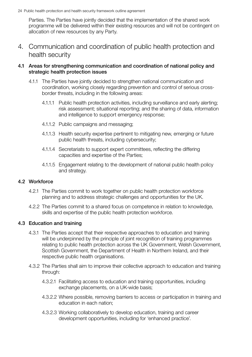Parties. The Parties have jointly decided that the implementation of the shared work programme will be delivered within their existing resources and will not be contingent on allocation of new resources by any Party.

4. Communication and coordination of public health protection and health security

#### 4.1 Areas for strengthening communication and coordination of national policy and strategic health protection issues

- 4.1.1 The Parties have jointly decided to strengthen national communication and coordination, working closely regarding prevention and control of serious crossborder threats, including in the following areas:
	- 4.1.1.1 Public health protection activities, including surveillance and early alerting; risk assessment; situational reporting; and the sharing of data, information and intelligence to support emergency response;
	- 4.1.1.2 Public campaigns and messaging;
	- 4.1.1.3 Health security expertise pertinent to mitigating new, emerging or future public health threats, including cybersecurity;
	- 4.1.1.4 Secretariats to support expert committees, reflecting the differing capacities and expertise of the Parties;
	- 4.1.1.5 Engagement relating to the development of national public health policy and strategy.

## 4.2 Workforce

- 4.2.1 The Parties commit to work together on public health protection workforce planning and to address strategic challenges and opportunities for the UK.
- 4.2.2 The Parties commit to a shared focus on competence in relation to knowledge, skills and expertise of the public health protection workforce.

#### 4.3 Education and training

- 4.3.1 The Parties accept that their respective approaches to education and training will be underpinned by the principle of joint recognition of training programmes relating to public health protection across the UK Government, Welsh Government, Scottish Government, the Department of Health in Northern Ireland, and their respective public health organisations.
- 4.3.2 The Parties shall aim to improve their collective approach to education and training through:
	- 4.3.2.1 Facilitating access to education and training opportunities, including exchange placements, on a UK-wide basis;
	- 4.3.2.2 Where possible, removing barriers to access or participation in training and education in each nation;
	- 4.3.2.3 Working collaboratively to develop education, training and career development opportunities, including for 'enhanced practice'.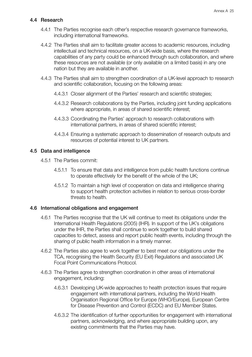## 4.4 Research

- 4.4.1 The Parties recognise each other's respective research governance frameworks, including international frameworks.
- 4.4.2 The Parties shall aim to facilitate greater access to academic resources, including intellectual and technical resources, on a UK-wide basis, where the research capabilities of any party could be enhanced through such collaboration, and where these resources are not available (or only available on a limited basis) in any one nation but they are available in another.
- 4.4.3 The Parties shall aim to strengthen coordination of a UK-level approach to research and scientific collaboration, focusing on the following areas:
	- 4.4.3.1 Closer alignment of the Parties' research and scientific strategies;
	- 4.4.3.2 Research collaborations by the Parties, including joint funding applications where appropriate, in areas of shared scientific interest;
	- 4.4.3.3 Coordinating the Parties' approach to research collaborations with international partners, in areas of shared scientific interest;
	- 4.4.3.4 Ensuring a systematic approach to dissemination of research outputs and resources of potential interest to UK partners.

#### 4.5 Data and intelligence

- 4.5.1 The Parties commit:
	- 4.5.1.1 To ensure that data and intelligence from public health functions continue to operate effectively for the benefit of the whole of the UK;
	- 4.5.1.2 To maintain a high level of cooperation on data and intelligence sharing to support health protection activities in relation to serious cross-border threats to health.

#### 4.6 International obligations and engagement

- 4.6.1 The Parties recognise that the UK will continue to meet its obligations under the International Health Regulations (2005) (IHR). In support of the UK's obligations under the IHR, the Parties shall continue to work together to build shared capacities to detect, assess and report public health events, including through the sharing of public health information in a timely manner.
- 4.6.2 The Parties also agree to work together to best meet our obligations under the TCA, recognising the Health Security (EU Exit) Regulations and associated UK Focal Point Communications Protocol.
- 4.6.3 The Parties agree to strengthen coordination in other areas of international engagement, including:
	- 4.6.3.1 Developing UK-wide approaches to health protection issues that require engagement with international partners, including the World Health Organisation Regional Office for Europe (WHO/Europe), European Centre for Disease Prevention and Control (ECDC) and EU Member States.
	- 4.6.3.2 The identification of further opportunities for engagement with international partners, acknowledging, and where appropriate building upon, any existing commitments that the Parties may have.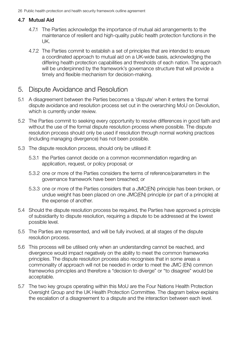## 4.7 Mutual Aid

- 4.7.1 The Parties acknowledge the importance of mutual aid arrangements to the maintenance of resilient and high-quality public health protection functions in the UK.
- 4.7.2 The Parties commit to establish a set of principles that are intended to ensure a coordinated approach to mutual aid on a UK-wide basis, acknowledging the differing health protection capabilities and thresholds of each nation. The approach will be underpinned by the framework's governance structure that will provide a timely and flexible mechanism for decision-making.

## 5. Dispute Avoidance and Resolution

- 5.1 A disagreement between the Parties becomes a 'dispute' when it enters the formal dispute avoidance and resolution process set out in the overarching MoU on Devolution, which is currently under review.
- 5.2 The Parties commit to seeking every opportunity to resolve differences in good faith and without the use of the formal dispute resolution process where possible. The dispute resolution process should only be used if resolution through normal working practices (including managing divergence) has not been possible.
- 5.3 The dispute resolution process, should only be utilised if:
	- 5.3.1 the Parties cannot decide on a common recommendation regarding an application, request, or policy proposal; or
	- 5.3.2 one or more of the Parties considers the terms of reference/parameters in the governance framework have been breached; or
	- 5.3.3 one or more of the Parties considers that a JMC(EN) principle has been broken, or undue weight has been placed on one JMC(EN) principle (or part of a principle) at the expense of another.
- 5.4 Should the dispute resolution process be required, the Parties have approved a principle of subsidiarity to dispute resolution, requiring a dispute to be addressed at the lowest possible level.
- 5.5 The Parties are represented, and will be fully involved, at all stages of the dispute resolution process.
- 5.6 This process will be utilised only when an understanding cannot be reached, and divergence would impact negatively on the ability to meet the common frameworks principles. The dispute resolution process also recognises that in some areas a commonality of approach will not be needed in order to meet the JMC (EN) common frameworks principles and therefore a "decision to diverge" or "to disagree" would be acceptable.
- 5.7 The two key groups operating within this MoU are the Four Nations Health Protection Oversight Group and the UK Health Protection Committee. The diagram below explains the escalation of a disagreement to a dispute and the interaction between each level.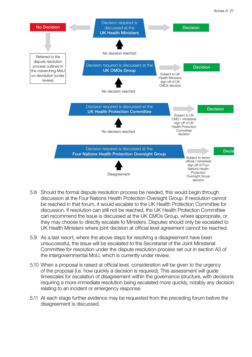

- 5.8 Should the formal dispute resolution process be needed, this would begin through discussion at the Four Nations Health Protection Oversight Group. If resolution cannot be reached in that forum, it would escalate to the UK Health Protection Committee for discussion. If resolution can still not be reached, the UK Health Protection Committee can recommend the issue is discussed at the UK CMOs Group, where appropriate, or they may choose to directly escalate to Ministers. Disputes should only be escalated to UK Health Ministers where joint decision at official level agreement cannot be reached.
- 5.9 As a last resort, where the above steps for resolving a disagreement have been unsuccessful, the issue will be escalated to the Secretariat of the Joint Ministerial Committee for resolution under the dispute resolution process set out in section A3 of the intergovernmental MoU, which is currently under review.
- 5.10 When a proposal is raised at official level, consideration will be given to the urgency of the proposal (i.e. how quickly a decision is required). This assessment will guide timescales for escalation of disagreement within the governance structure, with decisions requiring a more immediate resolution being escalated more quickly, notably any decision relating to an incident or emergency response.
- 5.11 At each stage further evidence may be requested from the preceding forum before the disagreement is discussed.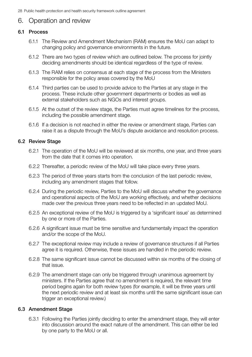## 6. Operation and review

#### 6.1 Process

- 6.1.1 The Review and Amendment Mechanism (RAM) ensures the MoU can adapt to changing policy and governance environments in the future.
- 6.1.2 There are two types of review which are outlined below. The process for jointly deciding amendments should be identical regardless of the type of review.
- 6.1.3 The RAM relies on consensus at each stage of the process from the Ministers responsible for the policy areas covered by the MoU
- 6.1.4 Third parties can be used to provide advice to the Parties at any stage in the process. These include other government departments or bodies as well as external stakeholders such as NGOs and interest groups.
- 6.1.5 At the outset of the review stage, the Parties must agree timelines for the process, including the possible amendment stage.
- 6.1.6 If a decision is not reached in either the review or amendment stage, Parties can raise it as a dispute through the MoU's dispute avoidance and resolution process.

#### 6.2 Review Stage

- 6.2.1 The operation of the MoU will be reviewed at six months, one year, and three years from the date that it comes into operation.
- 6.2.2 Thereafter, a periodic review of the MoU will take place every three years.
- 6.2.3 The period of three years starts from the conclusion of the last periodic review, including any amendment stages that follow.
- 6.2.4 During the periodic review, Parties to the MoU will discuss whether the governance and operational aspects of the MoU are working effectively, and whether decisions made over the previous three years need to be reflected in an updated MoU.
- 6.2.5 An exceptional review of the MoU is triggered by a 'significant issue' as determined by one or more of the Parties.
- 6.2.6 A significant issue must be time sensitive and fundamentally impact the operation and/or the scope of the MoU.
- 6.2.7 The exceptional review may include a review of governance structures if all Parties agree it is required. Otherwise, these issues are handled in the periodic review.
- 6.2.8 The same significant issue cannot be discussed within six months of the closing of that issue.
- 6.2.9 The amendment stage can only be triggered through unanimous agreement by ministers. If the Parties agree that no amendment is required, the relevant time period begins again for both review types (for example, it will be three years until the next periodic review and at least six months until the same significant issue can trigger an exceptional review.)

#### 6.3 Amendment Stage

6.3.1 Following the Parties jointly deciding to enter the amendment stage, they will enter into discussion around the exact nature of the amendment. This can either be led by one party to the MoU or all.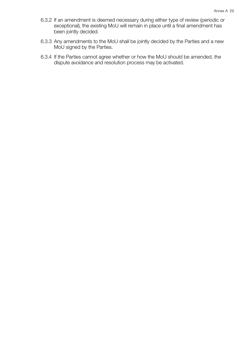- 6.3.2 If an amendment is deemed necessary during either type of review (periodic or exceptional), the existing MoU will remain in place until a final amendment has been jointly decided.
- 6.3.3 Any amendments to the MoU shall be jointly decided by the Parties and a new MoU signed by the Parties.
- 6.3.4 If the Parties cannot agree whether or how the MoU should be amended, the dispute avoidance and resolution process may be activated.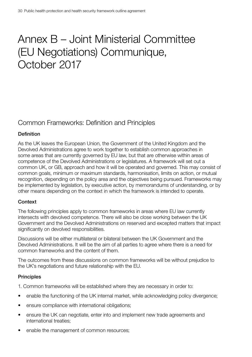## <span id="page-33-0"></span>Annex B – Joint Ministerial Committee (EU Negotiations) Communique, October 2017

## Common Frameworks: Definition and Principles

## **Definition**

As the UK leaves the European Union, the Government of the United Kingdom and the Devolved Administrations agree to work together to establish common approaches in some areas that are currently governed by EU law, but that are otherwise within areas of competence of the Devolved Administrations or legislatures. A framework will set out a common UK, or GB, approach and how it will be operated and governed. This may consist of common goals, minimum or maximum standards, harmonisation, limits on action, or mutual recognition, depending on the policy area and the objectives being pursued. Frameworks may be implemented by legislation, by executive action, by memorandums of understanding, or by other means depending on the context in which the framework is intended to operate.

#### Context

The following principles apply to common frameworks in areas where EU law currently intersects with devolved competence. There will also be close working between the UK Government and the Devolved Administrations on reserved and excepted matters that impact significantly on devolved responsibilities.

Discussions will be either multilateral or bilateral between the UK Government and the Devolved Administrations. It will be the aim of all parties to agree where there is a need for common frameworks and the content of them.

The outcomes from these discussions on common frameworks will be without prejudice to the UK's negotiations and future relationship with the EU.

#### **Principles**

1. Common frameworks will be established where they are necessary in order to:

- enable the functioning of the UK internal market, while acknowledging policy divergence;
- ensure compliance with international obligations:
- ensure the UK can negotiate, enter into and implement new trade agreements and international treaties;
- enable the management of common resources;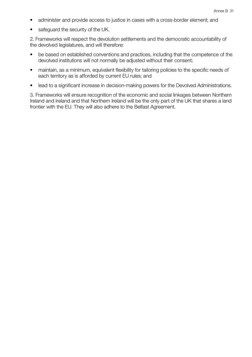- administer and provide access to justice in cases with a cross-border element; and
- safeguard the security of the UK.

2. Frameworks will respect the devolution settlements and the democratic accountability of the devolved legislatures, and will therefore:

- be based on established conventions and practices, including that the competence of the devolved institutions will not normally be adjusted without their consent;
- maintain, as a minimum, equivalent flexibility for tailoring policies to the specific needs of each territory as is afforded by current EU rules; and
- lead to a significant increase in decision-making powers for the Devolved Administrations.

3. Frameworks will ensure recognition of the economic and social linkages between Northern Ireland and Ireland and that Northern Ireland will be the only part of the UK that shares a land frontier with the EU. They will also adhere to the Belfast Agreement.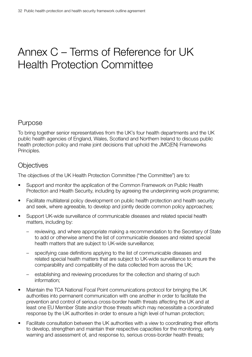## <span id="page-35-0"></span>Annex C – Terms of Reference for UK Health Protection Committee

## Purpose

To bring together senior representatives from the UK's four health departments and the UK public health agencies of England, Wales, Scotland and Northern Ireland to discuss public health protection policy and make joint decisions that uphold the JMC(EN) Frameworks Principles.

## **Objectives**

The objectives of the UK Health Protection Committee ("the Committee") are to:

- Support and monitor the application of the Common Framework on Public Health Protection and Health Security, including by agreeing the underpinning work programme;
- Facilitate multilateral policy development on public health protection and health security and seek, where agreeable, to develop and jointly decide common policy approaches;
- Support UK-wide surveillance of communicable diseases and related special health matters, including by:
	- reviewing, and where appropriate making a recommendation to the Secretary of State to add or otherwise amend the list of communicable diseases and related special health matters that are subject to UK-wide surveillance;
	- specifying case definitions applying to the list of communicable diseases and related special health matters that are subject to UK-wide surveillance to ensure the comparability and compatibility of the data collected from across the UK;
	- establishing and reviewing procedures for the collection and sharing of such information;
- Maintain the TCA National Focal Point communications protocol for bringing the UK authorities into permanent communication with one another in order to facilitate the prevention and control of serious cross-border health threats affecting the UK and at least one EU Member State and/or those threats which may necessitate a coordinated response by the UK authorities in order to ensure a high level of human protection;
- Facilitate consultation between the UK authorities with a view to coordinating their efforts to develop, strengthen and maintain their respective capacities for the monitoring, early warning and assessment of, and response to, serious cross-border health threats;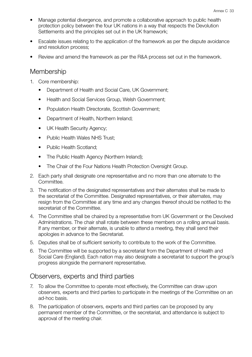- Manage potential divergence, and promote a collaborative approach to public health protection policy between the four UK nations in a way that respects the Devolution Settlements and the principles set out in the UK framework;
- Escalate issues relating to the application of the framework as per the dispute avoidance and resolution process;
- Review and amend the framework as per the R&A process set out in the framework.

## **Membership**

- 1. Core membership:
	- Department of Health and Social Care, UK Government;
	- Health and Social Services Group, Welsh Government;
	- Population Health Directorate, Scottish Government;
	- Department of Health, Northern Ireland;
	- UK Health Security Agency;
	- Public Health Wales NHS Trust:
	- Public Health Scotland:
	- The Public Health Agency (Northern Ireland);
	- The Chair of the Four Nations Health Protection Oversight Group.
- 2. Each party shall designate one representative and no more than one alternate to the Committee.
- 3. The notification of the designated representatives and their alternates shall be made to the secretariat of the Committee. Designated representatives, or their alternates, may resign from the Committee at any time and any changes thereof should be notified to the secretariat of the Committee.
- 4. The Committee shall be chaired by a representative from UK Government or the Devolved Administrations. The chair shall rotate between these members on a rolling annual basis. If any member, or their alternate, is unable to attend a meeting, they shall send their apologies in advance to the Secretariat.
- 5. Deputies shall be of sufficient seniority to contribute to the work of the Committee.
- 6. The Committee will be supported by a secretariat from the Department of Health and Social Care (England). Each nation may also designate a secretariat to support the group's progress alongside the permanent representative.

## Observers, experts and third parties

- 7. To allow the Committee to operate most effectively, the Committee can draw upon observers, experts and third parties to participate in the meetings of the Committee on an ad-hoc basis.
- 8. The participation of observers, experts and third parties can be proposed by any permanent member of the Committee, or the secretariat, and attendance is subject to approval of the meeting chair.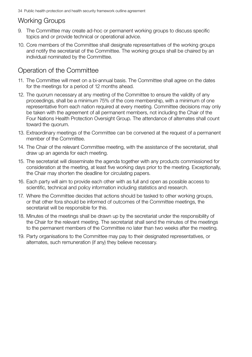## Working Groups

- 9. The Committee may create ad-hoc or permanent working groups to discuss specific topics and or provide technical or operational advice.
- 10. Core members of the Committee shall designate representatives of the working groups and notify the secretariat of the Committee. The working groups shall be chaired by an individual nominated by the Committee.

## Operation of the Committee

- 11. The Committee will meet on a bi-annual basis. The Committee shall agree on the dates for the meetings for a period of 12 months ahead.
- 12. The quorum necessary at any meeting of the Committee to ensure the validity of any proceedings, shall be a minimum 75% of the core membership, with a minimum of one representative from each nation required at every meeting. Committee decisions may only be taken with the agreement of all permanent members, not including the Chair of the Four Nations Health Protection Oversight Group. The attendance of alternates shall count toward the quorum.
- 13. Extraordinary meetings of the Committee can be convened at the request of a permanent member of the Committee.
- 14. The Chair of the relevant Committee meeting, with the assistance of the secretariat, shall draw up an agenda for each meeting.
- 15. The secretariat will disseminate the agenda together with any products commissioned for consideration at the meeting, at least five working days prior to the meeting. Exceptionally, the Chair may shorten the deadline for circulating papers.
- 16. Each party will aim to provide each other with as full and open as possible access to scientific, technical and policy information including statistics and research.
- 17. Where the Committee decides that actions should be tasked to other working groups, or that other fora should be informed of outcomes of the Committee meetings, the secretariat will be responsible for this.
- 18. Minutes of the meetings shall be drawn up by the secretariat under the responsibility of the Chair for the relevant meeting. The secretariat shall send the minutes of the meetings to the permanent members of the Committee no later than two weeks after the meeting.
- 19. Party organisations to the Committee may pay to their designated representatives, or alternates, such remuneration (if any) they believe necessary.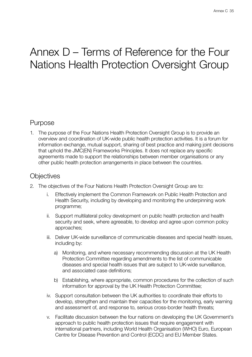## <span id="page-38-0"></span>Annex D – Terms of Reference for the Four Nations Health Protection Oversight Group

## Purpose

1. The purpose of the Four Nations Health Protection Oversight Group is to provide an overview and coordination of UK-wide public health protection activities. It is a forum for information exchange, mutual support, sharing of best practice and making joint decisions that uphold the JMC(EN) Frameworks Principles. It does not replace any specific agreements made to support the relationships between member organisations or any other public health protection arrangements in place between the countries.

## **Objectives**

- 2. The objectives of the Four Nations Health Protection Oversight Group are to:
	- i. Effectively implement the Common Framework on Public Health Protection and Health Security, including by developing and monitoring the underpinning work programme;
	- ii. Support multilateral policy development on public health protection and health security and seek, where agreeable, to develop and agree upon common policy approaches;
	- iii. Deliver UK-wide surveillance of communicable diseases and special health issues, including by:
		- a) Monitoring, and where necessary recommending discussion at the UK Health Protection Committee regarding amendments to the list of communicable diseases and special health issues that are subject to UK-wide surveillance, and associated case definitions;
		- b) Establishing, where appropriate, common procedures for the collection of such information for approval by the UK Health Protection Committee;
	- iv. Support consultation between the UK authorities to coordinate their efforts to develop, strengthen and maintain their capacities for the monitoring, early warning and assessment of, and response to, serious cross-border health threats;
	- v. Facilitate discussion between the four nations on developing the UK Government's approach to public health protection issues that require engagement with international partners, including World Health Organisation (WHO) Euro, European Centre for Disease Prevention and Control (ECDC) and EU Member States.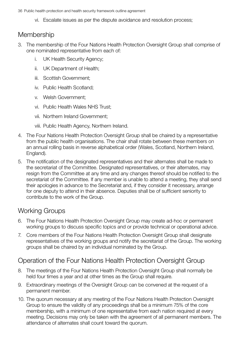vi. Escalate issues as per the dispute avoidance and resolution process;

## **Membership**

- 3. The membership of the Four Nations Health Protection Oversight Group shall comprise of one nominated representative from each of:
	- i. UK Health Security Agency;
	- ii. UK Department of Health;
	- iii. Scottish Government;
	- iv. Public Health Scotland;
	- v. Welsh Government;
	- vi. Public Health Wales NHS Trust;
	- vii. Northern Ireland Government;
	- viii. Public Health Agency, Northern Ireland.
- 4. The Four Nations Health Protection Oversight Group shall be chaired by a representative from the public health organisations. The chair shall rotate between these members on an annual rolling basis in reverse alphabetical order (Wales, Scotland, Northern Ireland, England).
- 5. The notification of the designated representatives and their alternates shall be made to the secretariat of the Committee. Designated representatives, or their alternates, may resign from the Committee at any time and any changes thereof should be notified to the secretariat of the Committee. If any member is unable to attend a meeting, they shall send their apologies in advance to the Secretariat and, if they consider it necessary, arrange for one deputy to attend in their absence. Deputies shall be of sufficient seniority to contribute to the work of the Group.

## Working Groups

- 6. The Four Nations Health Protection Oversight Group may create ad-hoc or permanent working groups to discuss specific topics and or provide technical or operational advice.
- 7. Core members of the Four Nations Health Protection Oversight Group shall designate representatives of the working groups and notify the secretariat of the Group. The working groups shall be chaired by an individual nominated by the Group.

## Operation of the Four Nations Health Protection Oversight Group

- 8. The meetings of the Four Nations Health Protection Oversight Group shall normally be held four times a year and at other times as the Group shall require.
- 9. Extraordinary meetings of the Oversight Group can be convened at the request of a permanent member.
- 10. The quorum necessary at any meeting of the Four Nations Health Protection Oversight Group to ensure the validity of any proceedings shall be a minimum 75% of the core membership, with a minimum of one representative from each nation required at every meeting. Decisions may only be taken with the agreement of all permanent members. The attendance of alternates shall count toward the quorum.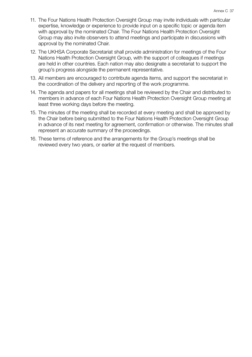- 11. The Four Nations Health Protection Oversight Group may invite individuals with particular expertise, knowledge or experience to provide input on a specific topic or agenda item with approval by the nominated Chair. The Four Nations Health Protection Oversight Group may also invite observers to attend meetings and participate in discussions with approval by the nominated Chair.
- 12. The UKHSA Corporate Secretariat shall provide administration for meetings of the Four Nations Health Protection Oversight Group, with the support of colleagues if meetings are held in other countries. Each nation may also designate a secretariat to support the group's progress alongside the permanent representative.
- 13. All members are encouraged to contribute agenda items, and support the secretariat in the coordination of the delivery and reporting of the work programme.
- 14. The agenda and papers for all meetings shall be reviewed by the Chair and distributed to members in advance of each Four Nations Health Protection Oversight Group meeting at least three working days before the meeting.
- 15. The minutes of the meeting shall be recorded at every meeting and shall be approved by the Chair before being submitted to the Four Nations Health Protection Oversight Group in advance of its next meeting for agreement, confirmation or otherwise. The minutes shall represent an accurate summary of the proceedings.
- 16. These terms of reference and the arrangements for the Group's meetings shall be reviewed every two years, or earlier at the request of members.